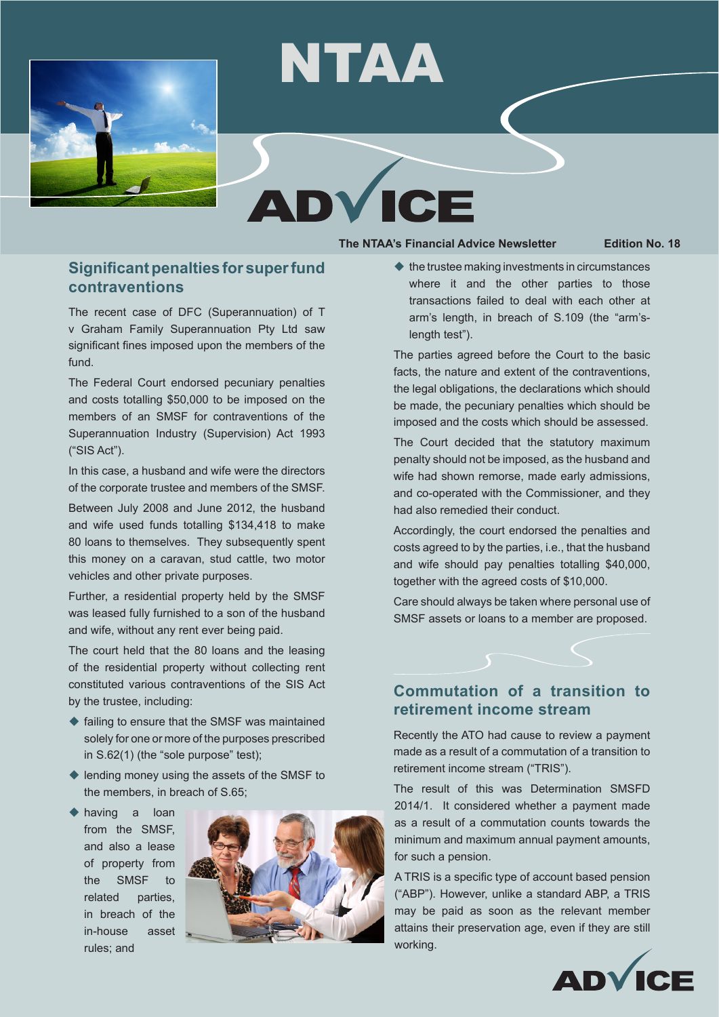

# ICI

NTAA

#### **The NTAA's Financial Advice Newsletter Edition No. 18**

# **Significant penalties for super fund contraventions**

The recent case of DFC (Superannuation) of T v Graham Family Superannuation Pty Ltd saw significant fines imposed upon the members of the fund.

The Federal Court endorsed pecuniary penalties and costs totalling \$50,000 to be imposed on the members of an SMSF for contraventions of the Superannuation Industry (Supervision) Act 1993 ("SIS Act").

In this case, a husband and wife were the directors of the corporate trustee and members of the SMSF.

Between July 2008 and June 2012, the husband and wife used funds totalling \$134,418 to make 80 loans to themselves. They subsequently spent this money on a caravan, stud cattle, two motor vehicles and other private purposes.

Further, a residential property held by the SMSF was leased fully furnished to a son of the husband and wife, without any rent ever being paid.

The court held that the 80 loans and the leasing of the residential property without collecting rent constituted various contraventions of the SIS Act by the trustee, including:

- $\triangle$  failing to ensure that the SMSF was maintained solely for one or more of the purposes prescribed in S.62(1) (the "sole purpose" test);
- $\blacklozenge$  lending money using the assets of the SMSF to the members, in breach of S.65;
- $\triangle$  having a loan from the SMSF, and also a lease of property from the SMSF to related parties, in breach of the in-house asset rules; and



 $\blacklozenge$  the trustee making investments in circumstances where it and the other parties to those transactions failed to deal with each other at arm's length, in breach of S.109 (the "arm'slength test").

The parties agreed before the Court to the basic facts, the nature and extent of the contraventions, the legal obligations, the declarations which should be made, the pecuniary penalties which should be imposed and the costs which should be assessed.

The Court decided that the statutory maximum penalty should not be imposed, as the husband and wife had shown remorse, made early admissions, and co-operated with the Commissioner, and they had also remedied their conduct.

Accordingly, the court endorsed the penalties and costs agreed to by the parties, i.e., that the husband and wife should pay penalties totalling \$40,000, together with the agreed costs of \$10,000.

Care should always be taken where personal use of SMSF assets or loans to a member are proposed.

## **Commutation of a transition to retirement income stream**

Recently the ATO had cause to review a payment made as a result of a commutation of a transition to retirement income stream ("TRIS").

The result of this was Determination SMSFD 2014/1. It considered whether a payment made as a result of a commutation counts towards the minimum and maximum annual payment amounts, for such a pension.

A TRIS is a specific type of account based pension ("ABP"). However, unlike a standard ABP, a TRIS may be paid as soon as the relevant member attains their preservation age, even if they are still working.

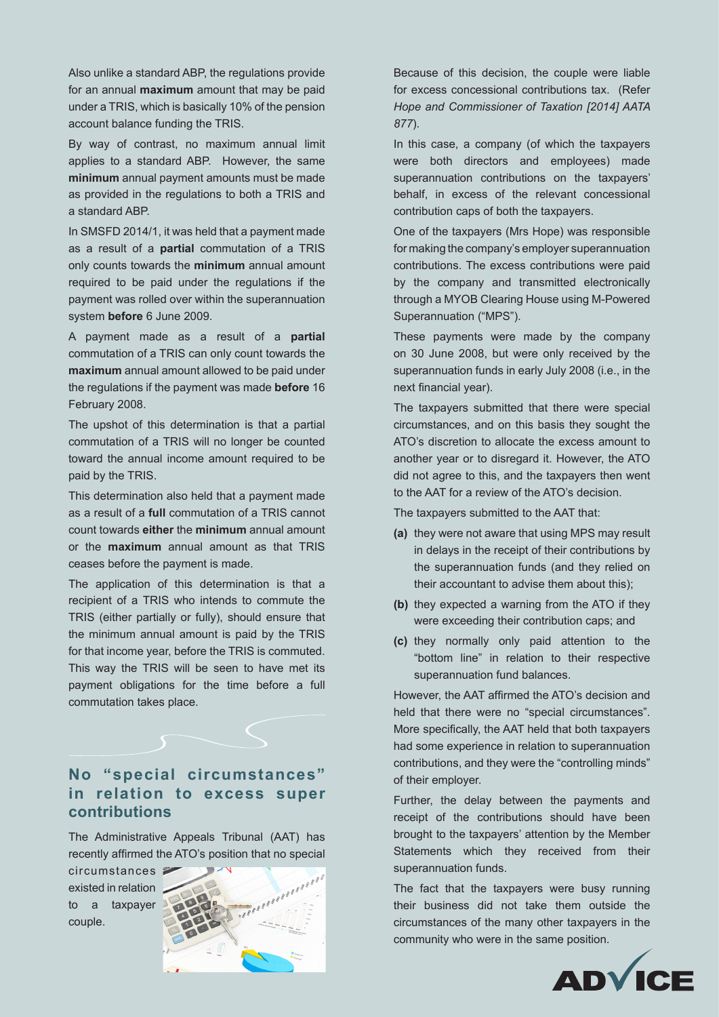Also unlike a standard ABP, the regulations provide for an annual **maximum** amount that may be paid under a TRIS, which is basically 10% of the pension account balance funding the TRIS.

By way of contrast, no maximum annual limit applies to a standard ABP. However, the same **minimum** annual payment amounts must be made as provided in the regulations to both a TRIS and a standard ABP.

In SMSFD 2014/1, it was held that a payment made as a result of a **partial** commutation of a TRIS only counts towards the **minimum** annual amount required to be paid under the regulations if the payment was rolled over within the superannuation system **before** 6 June 2009.

A payment made as a result of a **partial**  commutation of a TRIS can only count towards the **maximum** annual amount allowed to be paid under the regulations if the payment was made **before** 16 February 2008.

The upshot of this determination is that a partial commutation of a TRIS will no longer be counted toward the annual income amount required to be paid by the TRIS.

This determination also held that a payment made as a result of a **full** commutation of a TRIS cannot count towards **either** the **minimum** annual amount or the **maximum** annual amount as that TRIS ceases before the payment is made.

The application of this determination is that a recipient of a TRIS who intends to commute the TRIS (either partially or fully), should ensure that the minimum annual amount is paid by the TRIS for that income year, before the TRIS is commuted. This way the TRIS will be seen to have met its payment obligations for the time before a full commutation takes place.

# **No "special circumstances" in relation to excess super contributions**

The Administrative Appeals Tribunal (AAT) has recently affirmed the ATO's position that no special

circumstances existed in relation to a taxpayer couple.



Because of this decision, the couple were liable for excess concessional contributions tax. (Refer *Hope and Commissioner of Taxation [2014] AATA 877*).

In this case, a company (of which the taxpayers were both directors and employees) made superannuation contributions on the taxpayers' behalf, in excess of the relevant concessional contribution caps of both the taxpayers.

One of the taxpayers (Mrs Hope) was responsible for making the company's employer superannuation contributions. The excess contributions were paid by the company and transmitted electronically through a MYOB Clearing House using M-Powered Superannuation ("MPS").

These payments were made by the company on 30 June 2008, but were only received by the superannuation funds in early July 2008 (i.e., in the next financial year).

The taxpayers submitted that there were special circumstances, and on this basis they sought the ATO's discretion to allocate the excess amount to another year or to disregard it. However, the ATO did not agree to this, and the taxpayers then went to the AAT for a review of the ATO's decision.

The taxpayers submitted to the AAT that:

- **(a)** they were not aware that using MPS may result in delays in the receipt of their contributions by the superannuation funds (and they relied on their accountant to advise them about this);
- **(b)** they expected a warning from the ATO if they were exceeding their contribution caps; and
- **(c)** they normally only paid attention to the "bottom line" in relation to their respective superannuation fund balances.

However, the AAT affirmed the ATO's decision and held that there were no "special circumstances". More specifically, the AAT held that both taxpayers had some experience in relation to superannuation contributions, and they were the "controlling minds" of their employer.

Further, the delay between the payments and receipt of the contributions should have been brought to the taxpayers' attention by the Member Statements which they received from their superannuation funds.

The fact that the taxpayers were busy running their business did not take them outside the circumstances of the many other taxpayers in the community who were in the same position.

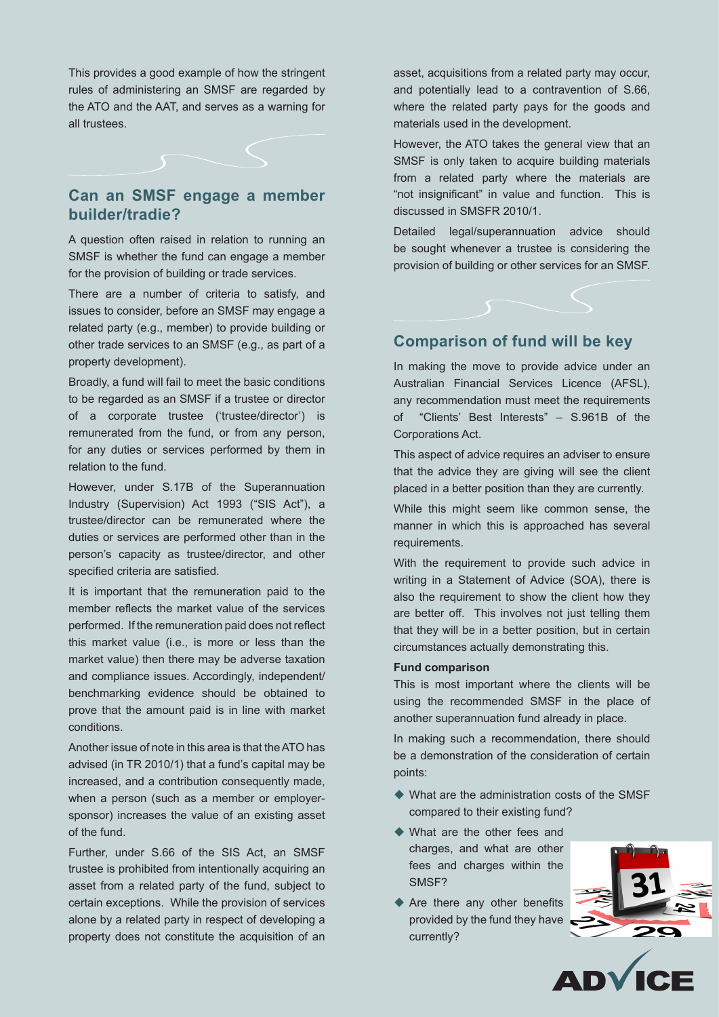This provides a good example of how the stringent rules of administering an SMSF are regarded by the ATO and the AAT, and serves as a warning for all trustees.



### **Can an SMSF engage a member builder/tradie?**

A question often raised in relation to running an SMSF is whether the fund can engage a member for the provision of building or trade services.

There are a number of criteria to satisfy, and issues to consider, before an SMSF may engage a related party (e.g., member) to provide building or other trade services to an SMSF (e.g., as part of a property development).

Broadly, a fund will fail to meet the basic conditions to be regarded as an SMSF if a trustee or director of a corporate trustee ('trustee/director') is remunerated from the fund, or from any person, for any duties or services performed by them in relation to the fund.

However, under S.17B of the Superannuation Industry (Supervision) Act 1993 ("SIS Act"), a trustee/director can be remunerated where the duties or services are performed other than in the person's capacity as trustee/director, and other specified criteria are satisfied.

It is important that the remuneration paid to the member reflects the market value of the services performed. If the remuneration paid does not reflect this market value (i.e., is more or less than the market value) then there may be adverse taxation and compliance issues. Accordingly, independent/ benchmarking evidence should be obtained to prove that the amount paid is in line with market conditions.

Another issue of note in this area is that the ATO has advised (in TR 2010/1) that a fund's capital may be increased, and a contribution consequently made, when a person (such as a member or employersponsor) increases the value of an existing asset of the fund.

Further, under S.66 of the SIS Act, an SMSF trustee is prohibited from intentionally acquiring an asset from a related party of the fund, subject to certain exceptions. While the provision of services alone by a related party in respect of developing a property does not constitute the acquisition of an

asset, acquisitions from a related party may occur, and potentially lead to a contravention of S.66, where the related party pays for the goods and materials used in the development.

However, the ATO takes the general view that an SMSF is only taken to acquire building materials from a related party where the materials are "not insignificant" in value and function. This is discussed in SMSFR 2010/1.

Detailed legal/superannuation advice should be sought whenever a trustee is considering the provision of building or other services for an SMSF.

#### **Comparison of fund will be key**

In making the move to provide advice under an Australian Financial Services Licence (AFSL), any recommendation must meet the requirements of "Clients' Best Interests" – S.961B of the Corporations Act.

This aspect of advice requires an adviser to ensure that the advice they are giving will see the client placed in a better position than they are currently.

While this might seem like common sense, the manner in which this is approached has several requirements.

With the requirement to provide such advice in writing in a Statement of Advice (SOA), there is also the requirement to show the client how they are better off. This involves not just telling them that they will be in a better position, but in certain circumstances actually demonstrating this.

#### **Fund comparison**

This is most important where the clients will be using the recommended SMSF in the place of another superannuation fund already in place.

In making such a recommendation, there should be a demonstration of the consideration of certain points:

- $\blacklozenge$  What are the administration costs of the SMSF compared to their existing fund?
- $\blacklozenge$  What are the other fees and charges, and what are other fees and charges within the SMSF?
- $\blacklozenge$  Are there any other benefits provided by the fund they have currently?